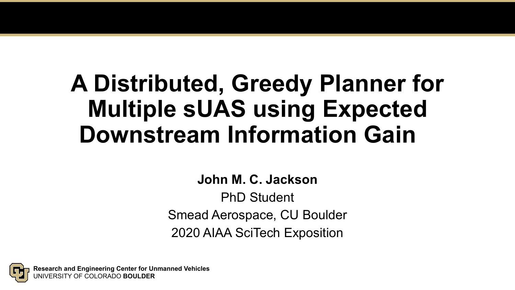# **A Distributed, Greedy Planner for Multiple sUAS using Expected Downstream Information Gain**

**John M. C. Jackson**

PhD Student Smead Aerospace, CU Boulder 2020 AIAA SciTech Exposition

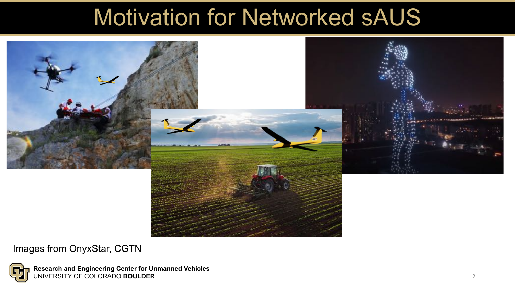### Motivation for Networked sAUS



Images from OnyxStar, CGTN

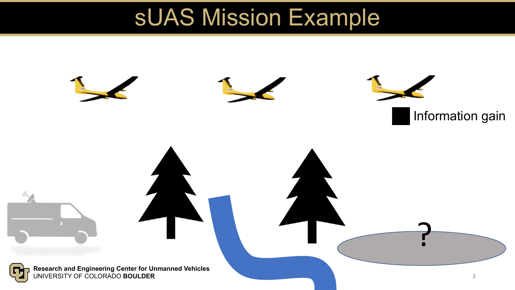### sUAS Mission Example

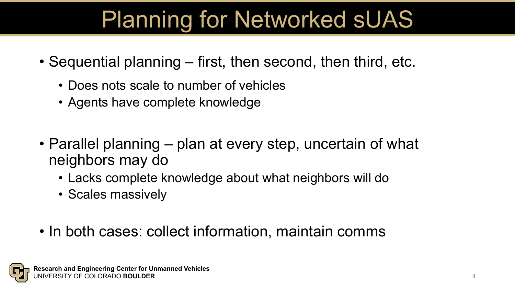# Planning for Networked sUAS

- Sequential planning first, then second, then third, etc.
	- Does nots scale to number of vehicles
	- Agents have complete knowledge
- Parallel planning plan at every step, uncertain of what neighbors may do
	- Lacks complete knowledge about what neighbors will do
	- Scales massively
- In both cases: collect information, maintain comms

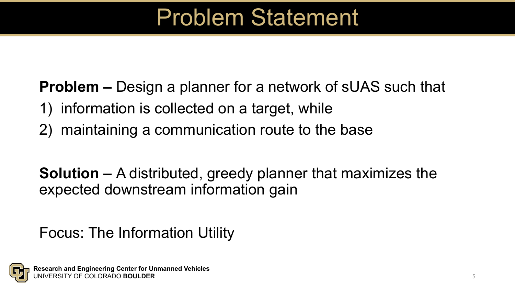### Problem Statement

**Problem –** Design a planner for a network of sUAS such that

- 1) information is collected on a target, while
- 2) maintaining a communication route to the base

**Solution –** A distributed, greedy planner that maximizes the expected downstream information gain

### Focus: The Information Utility

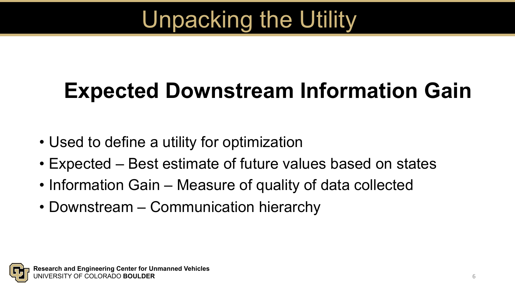# Unpacking the Utility

# **Expected Downstream Information Gain**

- Used to define a utility for optimization
- Expected Best estimate of future values based on states
- Information Gain Measure of quality of data collected
- Downstream Communication hierarchy

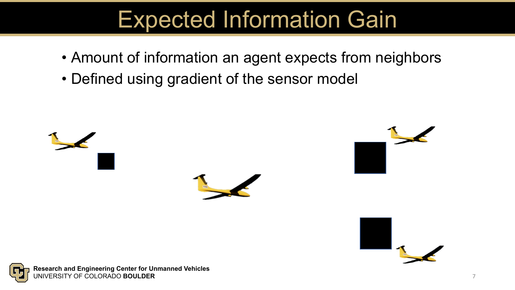## Expected Information Gain

- Amount of information an agent expects from neighbors
- Defined using gradient of the sensor model



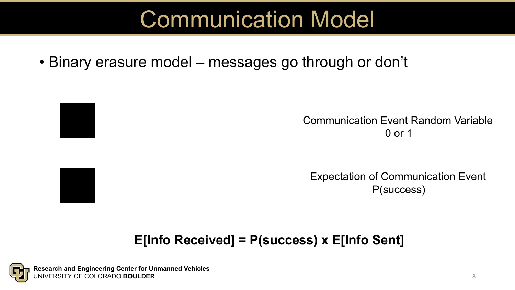## Communication Model

• Binary erasure model – messages go through or don't





Expectation of Communication Event P(success)

### **E[Info Received] = P(success) x E[Info Sent]**

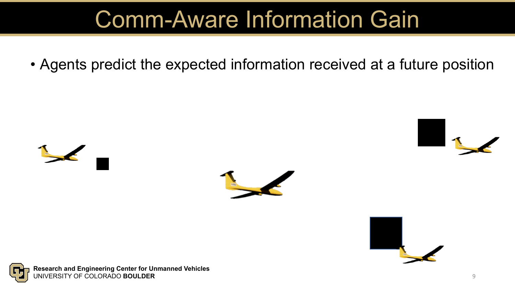## Comm-Aware Information Gain

• Agents predict the expected information received at a future position







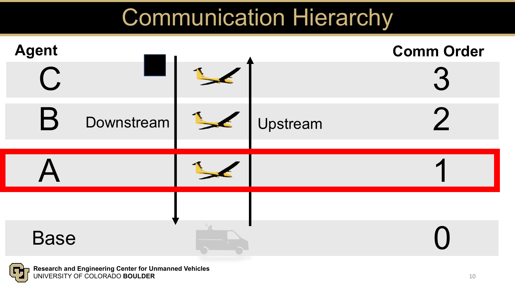### Communication Hierarchy

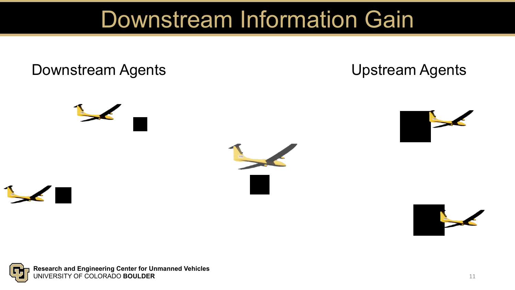### Downstream Information Gain

### Downstream Agents **Community** Upstream Agents

![](_page_10_Picture_2.jpeg)

![](_page_10_Picture_3.jpeg)

![](_page_10_Picture_5.jpeg)

![](_page_10_Picture_6.jpeg)

![](_page_10_Picture_7.jpeg)

![](_page_10_Picture_8.jpeg)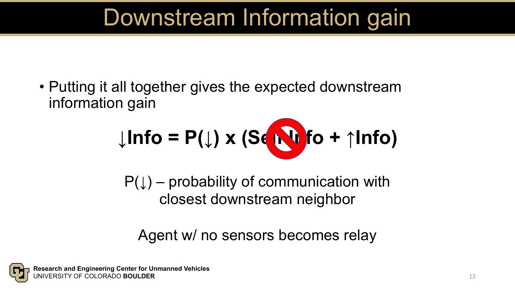## Downstream Information gain

• Putting it all together gives the expected downstream information gain

$$
\downarrow\ln\mathbf{fo} = \mathsf{P}(\downarrow)\times(\mathbf{S}(\bigotimes\mathbf{fo}+\uparrow\ln\mathbf{fo})
$$

 $P(\downarrow)$  – probability of communication with closest downstream neighbor

Agent w/ no sensors becomes relay

![](_page_11_Picture_5.jpeg)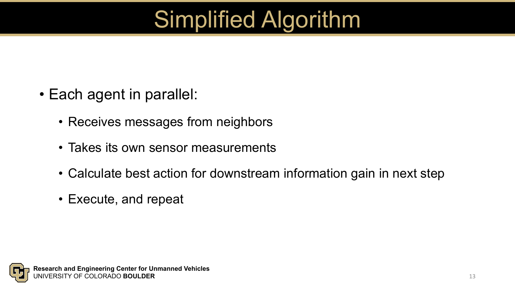# Simplified Algorithm

- Each agent in parallel:
	- Receives messages from neighbors
	- Takes its own sensor measurements
	- Calculate best action for downstream information gain in next step
	- Execute, and repeat

![](_page_12_Picture_6.jpeg)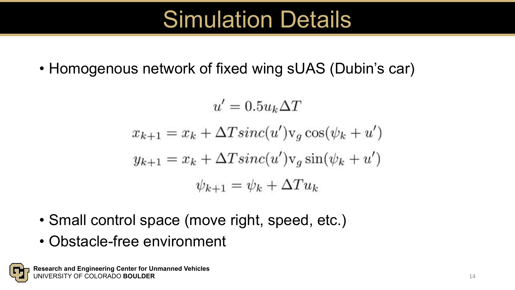### Simulation Details

• Homogenous network of fixed wing sUAS (Dubin's car)

 $u' = 0.5u_k\Delta T$  $x_{k+1} = x_k + \Delta T \operatorname{sinc}(u') v_q \cos(\psi_k + u')$  $y_{k+1} = x_k + \Delta T \operatorname{sinc}(u')v_q \sin(\psi_k + u')$  $\psi_{k+1} = \psi_k + \Delta T u_k$ 

- Small control space (move right, speed, etc.)
- Obstacle-free environment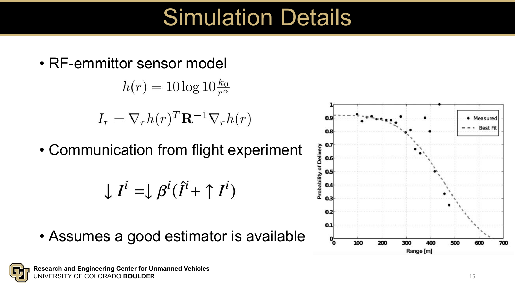### Simulation Details

• RF-emmittor sensor model

 $h(r) = 10 \log 10 \frac{k_0}{r^{\alpha}}$ 

$$
I_r = \nabla_r h(r)^T \mathbf{R}^{-1} \nabla_r h(r)
$$

• Communication from flight experiment

$$
\downarrow I^i = \downarrow \beta^i(\hat{I}^i + \uparrow I^i)
$$

• Assumes a good estimator is available

![](_page_14_Figure_7.jpeg)

![](_page_14_Figure_8.jpeg)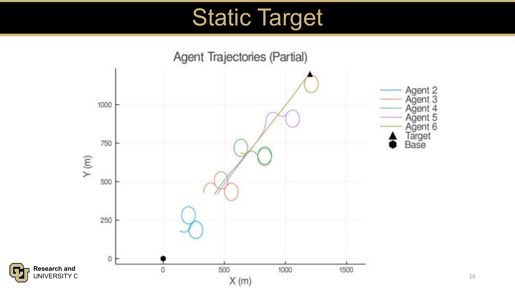### Static Target

![](_page_15_Figure_1.jpeg)

ГН

16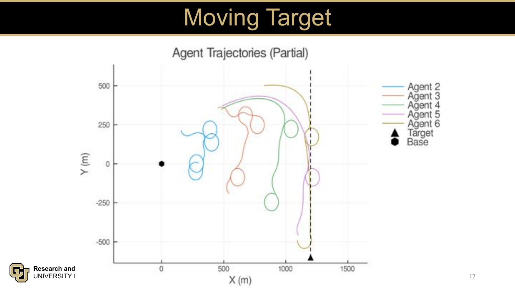# Moving Target

![](_page_16_Figure_1.jpeg)

17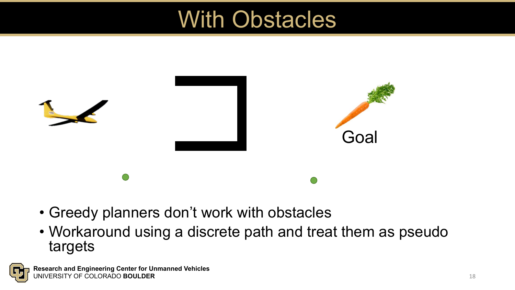### With Obstacles

![](_page_17_Picture_1.jpeg)

- Greedy planners don't work with obstacles
- Workaround using a discrete path and treat them as pseudo targets

![](_page_17_Picture_4.jpeg)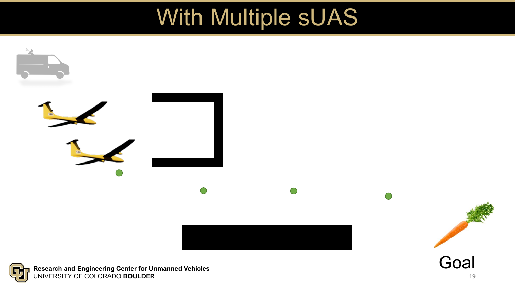### With Multiple sUAS

![](_page_18_Figure_1.jpeg)

**Research and Engineering Center for Unmanned Vehicles GH** UNIVERSITY OF COLORADO **BOULDER**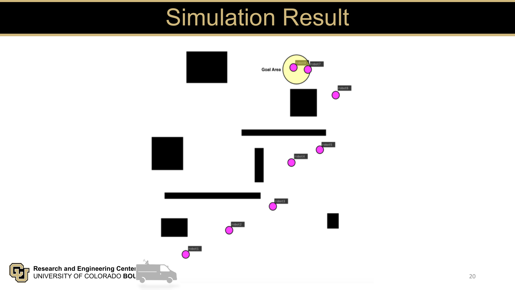### Simulation Result

![](_page_19_Figure_1.jpeg)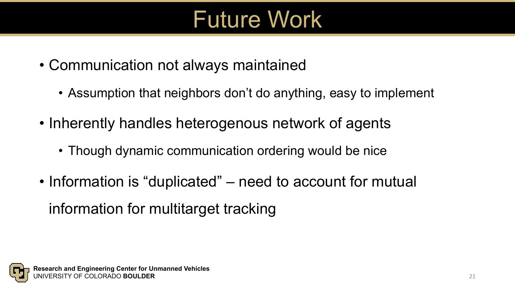# Future Work

- Communication not always maintained
	- Assumption that neighbors don't do anything, easy to implement
- Inherently handles heterogenous network of agents
	- Though dynamic communication ordering would be nice
- Information is "duplicated" need to account for mutual information for multitarget tracking

![](_page_20_Picture_6.jpeg)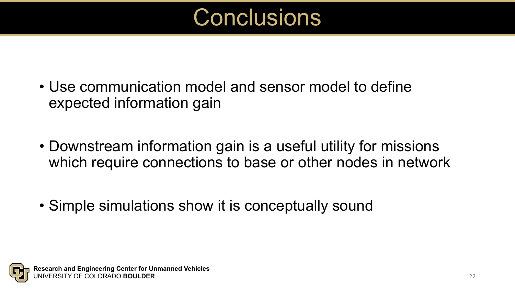### **Conclusions**

- Use communication model and sensor model to define expected information gain
- Downstream information gain is a useful utility for missions which require connections to base or other nodes in network
- Simple simulations show it is conceptually sound

![](_page_21_Picture_4.jpeg)